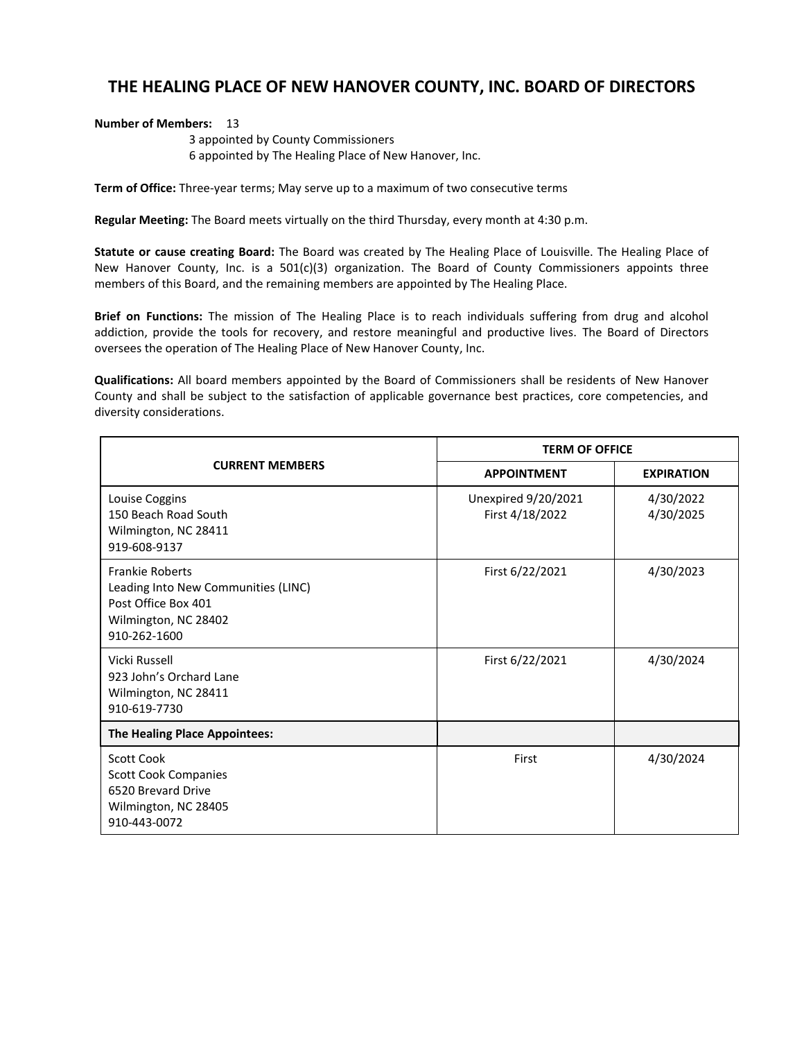## **THE HEALING PLACE OF NEW HANOVER COUNTY, INC. BOARD OF DIRECTORS**

## **Number of Members: 13**

3 appointed by County Commissioners 6 appointed by The Healing Place of New Hanover, Inc.

**Term of Office:** Three-year terms; May serve up to a maximum of two consecutive terms

**Regular Meeting:** The Board meets virtually on the third Thursday, every month at 4:30 p.m.

**Statute or cause creating Board:** The Board was created by The Healing Place of Louisville. The Healing Place of New Hanover County, Inc. is a  $501(c)(3)$  organization. The Board of County Commissioners appoints three members of this Board, and the remaining members are appointed by The Healing Place.

**Brief on Functions:** The mission of The Healing Place is to reach individuals suffering from drug and alcohol addiction, provide the tools for recovery, and restore meaningful and productive lives. The Board of Directors oversees the operation of The Healing Place of New Hanover County, Inc.

**Qualifications:** All board members appointed by the Board of Commissioners shall be residents of New Hanover County and shall be subject to the satisfaction of applicable governance best practices, core competencies, and diversity considerations.

| <b>CURRENT MEMBERS</b>                                                                                                       | <b>TERM OF OFFICE</b>                  |                        |
|------------------------------------------------------------------------------------------------------------------------------|----------------------------------------|------------------------|
|                                                                                                                              | <b>APPOINTMENT</b>                     | <b>EXPIRATION</b>      |
| Louise Coggins<br>150 Beach Road South<br>Wilmington, NC 28411<br>919-608-9137                                               | Unexpired 9/20/2021<br>First 4/18/2022 | 4/30/2022<br>4/30/2025 |
| <b>Frankie Roberts</b><br>Leading Into New Communities (LINC)<br>Post Office Box 401<br>Wilmington, NC 28402<br>910-262-1600 | First 6/22/2021                        | 4/30/2023              |
| Vicki Russell<br>923 John's Orchard Lane<br>Wilmington, NC 28411<br>910-619-7730                                             | First 6/22/2021                        | 4/30/2024              |
| The Healing Place Appointees:                                                                                                |                                        |                        |
| <b>Scott Cook</b><br><b>Scott Cook Companies</b><br>6520 Brevard Drive<br>Wilmington, NC 28405<br>910-443-0072               | First                                  | 4/30/2024              |